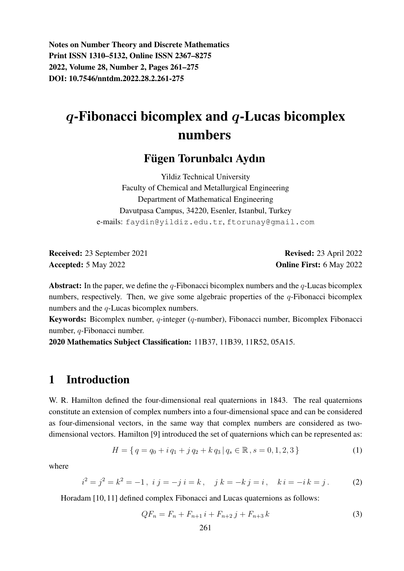Notes on Number Theory and Discrete Mathematics Print ISSN 1310–5132, Online ISSN 2367–8275 2022, Volume 28, Number 2, Pages 261–275 DOI: 10.7546/nntdm.2022.28.2.261-275

# $q$ -Fibonacci bicomplex and  $q$ -Lucas bicomplex numbers

#### Fügen Torunbalcı Aydın

Yildiz Technical University Faculty of Chemical and Metallurgical Engineering Department of Mathematical Engineering Davutpasa Campus, 34220, Esenler, Istanbul, Turkey e-mails: faydin@yildiz.edu.tr, ftorunay@gmail.com

Received: 23 September 2021 Revised: 23 April 2022 Accepted: 5 May 2022 **Online First: 6 May 2022** 

Abstract: In the paper, we define the  $q$ -Fibonacci bicomplex numbers and the  $q$ -Lucas bicomplex numbers, respectively. Then, we give some algebraic properties of the  $q$ -Fibonacci bicomplex numbers and the *q*-Lucas bicomplex numbers.

Keywords: Bicomplex number, q-integer (q-number), Fibonacci number, Bicomplex Fibonacci number, q-Fibonacci number.

2020 Mathematics Subject Classification: 11B37, 11B39, 11R52, 05A15.

#### 1 Introduction

W. R. Hamilton defined the four-dimensional real quaternions in 1843. The real quaternions constitute an extension of complex numbers into a four-dimensional space and can be considered as four-dimensional vectors, in the same way that complex numbers are considered as twodimensional vectors. Hamilton [9] introduced the set of quaternions which can be represented as:

$$
H = \{ q = q_0 + i q_1 + j q_2 + k q_3 \, | \, q_s \in \mathbb{R} \,, s = 0, 1, 2, 3 \}
$$
 (1)

where

$$
i2 = j2 = k2 = -1, \ i \ j = -j \ i = k, \ j \ k = -kj = i, \ k \ i = -ik = j. \tag{2}
$$

Horadam [10, 11] defined complex Fibonacci and Lucas quaternions as follows:

$$
QF_n = F_n + F_{n+1} i + F_{n+2} j + F_{n+3} k \tag{3}
$$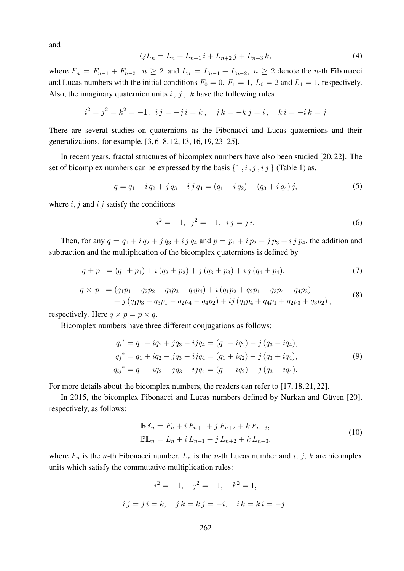and

$$
QL_n = L_n + L_{n+1} i + L_{n+2} j + L_{n+3} k,
$$
\n(4)

where  $F_n = F_{n-1} + F_{n-2}$ ,  $n \geq 2$  and  $L_n = L_{n-1} + L_{n-2}$ ,  $n \geq 2$  denote the n-th Fibonacci and Lucas numbers with the initial conditions  $F_0 = 0$ ,  $F_1 = 1$ ,  $L_0 = 2$  and  $L_1 = 1$ , respectively. Also, the imaginary quaternion units  $i$ ,  $j$ ,  $k$  have the following rules

$$
i^2 = j^2 = k^2 = -1
$$
,  $ij = -ji = k$ ,  $jk = -kj = i$ ,  $ki = -ik = j$ 

There are several studies on quaternions as the Fibonacci and Lucas quaternions and their generalizations, for example, [3, 6–8, 12, 13, 16, 19, 23–25].

In recent years, fractal structures of bicomplex numbers have also been studied [20, 22]. The set of bicomplex numbers can be expressed by the basis  $\{1, i, j, i\}$  (Table 1) as,

$$
q = q_1 + i q_2 + j q_3 + i j q_4 = (q_1 + i q_2) + (q_3 + i q_4) j,
$$
\n(5)

where  $i, j$  and  $i, j$  satisfy the conditions

$$
i^2 = -1, \ \ j^2 = -1, \ \ ij = j \, i. \tag{6}
$$

Then, for any  $q = q_1 + i q_2 + j q_3 + i j q_4$  and  $p = p_1 + i p_2 + j p_3 + i j p_4$ , the addition and subtraction and the multiplication of the bicomplex quaternions is defined by

$$
q \pm p = (q_1 \pm p_1) + i (q_2 \pm p_2) + j (q_3 \pm p_3) + i j (q_4 \pm p_4). \tag{7}
$$

$$
q \times p = (q_1p_1 - q_2p_2 - q_3p_3 + q_4p_4) + i(q_1p_2 + q_2p_1 - q_3p_4 - q_4p_3) + j(q_1p_3 + q_3p_1 - q_2p_4 - q_4p_2) + ij(q_1p_4 + q_4p_1 + q_2p_3 + q_3p_2),
$$
\n(8)

respectively. Here  $q \times p = p \times q$ .

Bicomplex numbers have three different conjugations as follows:

$$
q_i^* = q_1 - iq_2 + jq_3 - ijq_4 = (q_1 - iq_2) + j (q_3 - iq_4),
$$
  
\n
$$
q_j^* = q_1 + iq_2 - jq_3 - ijq_4 = (q_1 + iq_2) - j (q_3 + iq_4),
$$
  
\n
$$
q_{ij}^* = q_1 - iq_2 - jq_3 + ijq_4 = (q_1 - iq_2) - j (q_3 - iq_4).
$$
\n(9)

For more details about the bicomplex numbers, the readers can refer to [17, 18, 21, 22].

In 2015, the bicomplex Fibonacci and Lucas numbers defined by Nurkan and Güven [20], respectively, as follows:

$$
\mathbb{BF}_n = F_n + i F_{n+1} + j F_{n+2} + k F_{n+3},
$$
  

$$
\mathbb{BL}_n = L_n + i L_{n+1} + j L_{n+2} + k L_{n+3},
$$
 (10)

where  $F_n$  is the *n*-th Fibonacci number,  $L_n$  is the *n*-th Lucas number and *i*, *j*, *k* are bicomplex units which satisfy the commutative multiplication rules:

$$
i^2 = -1
$$
,  $j^2 = -1$ ,  $k^2 = 1$ ,  
 $i j = j i = k$ ,  $j k = k j = -i$ ,  $i k = k i = -j$ .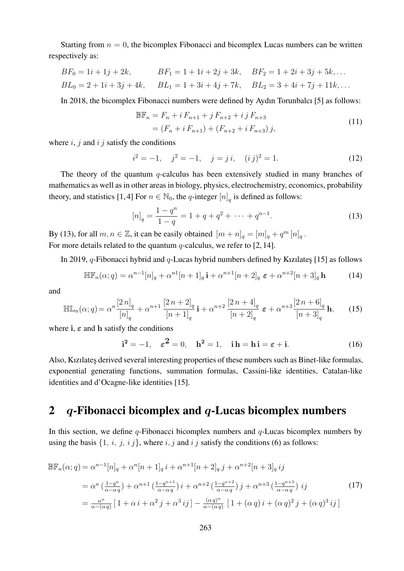Starting from  $n = 0$ , the bicomplex Fibonacci and bicomplex Lucas numbers can be written respectively as:

$$
BF_0 = 1i + 1j + 2k, \qquad BF_1 = 1 + 1i + 2j + 3k, \quad BF_2 = 1 + 2i + 3j + 5k, \dots
$$
  
\n
$$
BL_0 = 2 + 1i + 3j + 4k, \qquad BL_1 = 1 + 3i + 4j + 7k, \qquad BL_2 = 3 + 4i + 7j + 11k, \dots
$$

In 2018, the bicomplex Fibonacci numbers were defined by Aydın Torunbalcı [5] as follows:

$$
\mathbb{BF}_n = F_n + i F_{n+1} + j F_{n+2} + i j F_{n+3}
$$
  
=  $(F_n + i F_{n+1}) + (F_{n+2} + i F_{n+3}) j,$  (11)

where  $i, j$  and  $i, j$  satisfy the conditions

$$
i^2 = -1
$$
,  $j^2 = -1$ ,  $j = j i$ ,  $(i j)^2 = 1$ . (12)

The theory of the quantum  $q$ -calculus has been extensively studied in many branches of mathematics as well as in other areas in biology, physics, electrochemistry, economics, probability theory, and statistics [1,4] For  $n \in \mathbb{N}_0$ , the q-integer  $[n]_q$  is defined as follows:

$$
[n]_q = \frac{1 - q^n}{1 - q} = 1 + q + q^2 + \dots + q^{n-1}.
$$
 (13)

By (13), for all  $m, n \in \mathbb{Z}$ , it can be easily obtained  $[m+n]_q = [m]_q + q^m [n]_q$ . For more details related to the quantum  $q$ -calculus, we refer to [2, 14].

In 2019, q-Fibonacci hybrid and q-Lucas hybrid numbers defined by Kızılates [15] as follows

$$
\mathbb{H}\mathbb{F}_n(\alpha;q) = \alpha^{n-1}[n]_q + \alpha^{n1}[n+1]_q \mathbf{i} + \alpha^{n+1}[n+2]_q \varepsilon + \alpha^{n+2}[n+3]_q \mathbf{h}
$$
 (14)

and

$$
\mathbb{H}\mathbb{L}_{n}(\alpha;q) = \alpha^{n} \frac{[2\,n]_{q}}{[n]_{q}} + \alpha^{n+1} \frac{[2\,n+2]_{q}}{[n+1]_{q}} \mathbf{i} + \alpha^{n+2} \frac{[2\,n+4]_{q}}{[n+2]_{q}} \mathbf{\varepsilon} + \alpha^{n+3} \frac{[2\,n+6]_{q}}{[n+3]_{q}} \mathbf{h},\qquad(15)
$$

where i,  $\varepsilon$  and h satisfy the conditions

$$
\mathbf{i}^2 = -1, \quad \varepsilon^2 = 0, \quad \mathbf{h}^2 = 1, \quad \mathbf{i}\,\mathbf{h} = \mathbf{h}\,\mathbf{i} = \varepsilon + \mathbf{i}.\tag{16}
$$

Also, Kızılates derived several interesting properties of these numbers such as Binet-like formulas, exponential generating functions, summation formulas, Cassini-like identities, Catalan-like identities and d'Ocagne-like identities [15].

### 2 q-Fibonacci bicomplex and  $q$ -Lucas bicomplex numbers

In this section, we define  $q$ -Fibonacci bicomplex numbers and  $q$ -Lucas bicomplex numbers by using the basis  $\{1, i, j, i j\}$ , where i, j and i j satisfy the conditions (6) as follows:

$$
\mathbb{BF}_{n}(\alpha;q) = \alpha^{n-1}[n]_{q} + \alpha^{n}[n+1]_{q} i + \alpha^{n+1}[n+2]_{q} j + \alpha^{n+2}[n+3]_{q} ij
$$
\n
$$
= \alpha^{n} \left( \frac{1-q^{n}}{\alpha-\alpha q} \right) + \alpha^{n+1} \left( \frac{1-q^{n+1}}{\alpha-\alpha q} \right) i + \alpha^{n+2} \left( \frac{1-q^{n+2}}{\alpha-\alpha q} \right) j + \alpha^{n+3} \left( \frac{1-q^{n+3}}{\alpha-\alpha q} \right) ij
$$
\n
$$
= \frac{\alpha^{n}}{\alpha-(\alpha q)} \left[ 1 + \alpha i + \alpha^{2} j + \alpha^{3} ij \right] - \frac{(\alpha q)^{n}}{\alpha-(\alpha q)} \left[ 1 + (\alpha q) i + (\alpha q)^{2} j + (\alpha q)^{3} ij \right]
$$
\n(17)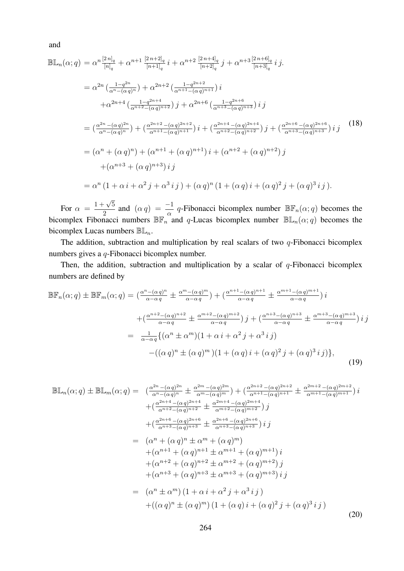and

$$
\mathbb{B}\mathbb{L}_{n}(\alpha;q) = \alpha^{n} \frac{[2n]_{q}}{[n]_{q}} + \alpha^{n+1} \frac{[2n+2]_{q}}{[n+1]_{q}} i + \alpha^{n+2} \frac{[2n+4]_{q}}{[n+2]_{q}} j + \alpha^{n+3} \frac{[2n+6]_{q}}{[n+3]_{q}} i j.
$$
  
\n
$$
= \alpha^{2n} \left( \frac{1-q^{2n}}{\alpha^{n}-(\alpha q)^{n}} \right) + \alpha^{2n+2} \left( \frac{1-q^{2n+2}}{\alpha^{n+1}-(\alpha q)^{n+1}} \right) i
$$
  
\n
$$
+ \alpha^{2n+4} \left( \frac{1-q^{2n+4}}{\alpha^{n+2}-(\alpha q)^{n+2}} \right) j + \alpha^{2n+6} \left( \frac{1-q^{2n+6}}{\alpha^{n+3}-(\alpha q)^{n+3}} \right) i j
$$
  
\n
$$
= \left( \frac{\alpha^{2n}-(\alpha q)^{2n}}{\alpha^{n}-(\alpha q)^{n}} \right) + \left( \frac{\alpha^{2n+2}-(\alpha q)^{2n+2}}{\alpha^{n+1}-(\alpha q)^{n+1}} \right) i + \left( \frac{\alpha^{2n+4}-(\alpha q)^{2n+4}}{\alpha^{n+2}-(\alpha q)^{n+2}} \right) j + \left( \frac{\alpha^{2n+6}-(\alpha q)^{2n+6}}{\alpha^{n+3}-(\alpha q)^{n+3}} \right) i j
$$
  
\n
$$
= (\alpha^{n}+(\alpha q)^{n}) + (\alpha^{n+1}+(\alpha q)^{n+1}) i + (\alpha^{n+2}+(\alpha q)^{n+2}) j + (\alpha^{n+3}+(\alpha q)^{n+3}) i j
$$
  
\n
$$
= \alpha^{n} (1+\alpha i + \alpha^{2} j + \alpha^{3} i j) + (\alpha q)^{n} (1+(\alpha q) i + (\alpha q)^{2} j + (\alpha q)^{3} i j).
$$
  
\n(18)

For  $\alpha = \frac{1+\sqrt{5}}{2}$  $\frac{1}{2} \sqrt{5}$  and  $(\alpha q) = \frac{-1}{\alpha} q$ -Fibonacci bicomplex number  $\mathbb{BF}_n(\alpha; q)$  becomes the bicomplex Fibonacci numbers  $\mathbb{BF}_{n}^{\alpha}$  and q-Lucas bicomplex number  $\mathbb{BL}_{n}(\alpha;q)$  becomes the bicomplex Lucas numbers  $\mathbb{B}\mathbb{L}_n$ .

The addition, subtraction and multiplication by real scalars of two  $q$ -Fibonacci bicomplex numbers gives a q-Fibonacci bicomplex number.

Then, the addition, subtraction and multiplication by a scalar of  $q$ -Fibonacci bicomplex numbers are defined by

$$
\mathbb{BF}_{n}(\alpha;q) \pm \mathbb{BF}_{m}(\alpha;q) = \left(\frac{\alpha^{n} - (\alpha q)^{n}}{\alpha - \alpha q} \pm \frac{\alpha^{m} - (\alpha q)^{m}}{\alpha - \alpha q}\right) + \left(\frac{\alpha^{n+1} - (\alpha q)^{n+1}}{\alpha - \alpha q} \pm \frac{\alpha^{m+1} - (\alpha q)^{m+1}}{\alpha - \alpha q}\right)i
$$

$$
+ \left(\frac{\alpha^{n+2} - (\alpha q)^{n+2}}{\alpha - \alpha q} \pm \frac{\alpha^{m+2} - (\alpha q)^{m+2}}{\alpha - \alpha q}\right)j + \left(\frac{\alpha^{n+3} - (\alpha q)^{n+3}}{\alpha - \alpha q} \pm \frac{\alpha^{m+3} - (\alpha q)^{m+3}}{\alpha - \alpha q}\right)i j
$$

$$
= \frac{1}{\alpha - \alpha q} \{ (\alpha^{n} \pm \alpha^{m})(1 + \alpha i + \alpha^{2} j + \alpha^{3} i j) - ((\alpha q)^{n} \pm (\alpha q)^{m})(1 + (\alpha q) i + (\alpha q)^{2} j + (\alpha q)^{3} i j) \}, \tag{19}
$$

$$
\mathbb{B}\mathbb{L}_{n}(\alpha;q) \pm \mathbb{B}\mathbb{L}_{m}(\alpha;q) = \left(\frac{\alpha^{2n} - (\alpha q)^{2n}}{\alpha^{n} - (\alpha q)^{n}} \pm \frac{\alpha^{2m} - (\alpha q)^{2m}}{\alpha^{m} - (\alpha q)^{m}}\right) + \left(\frac{\alpha^{2n+2} - (\alpha q)^{2n+2}}{\alpha^{n+1} - (\alpha q)^{n+1}} \pm \frac{\alpha^{2m+2} - (\alpha q)^{2m+2}}{\alpha^{m+1} - (\alpha q)^{m+1}}\right)i
$$
\n
$$
+ \left(\frac{\alpha^{2n+4} - (\alpha q)^{2n+4}}{\alpha^{n+2} - (\alpha q)^{n+2}} \pm \frac{\alpha^{2n+4} - (\alpha q)^{2n+4}}{\alpha^{m+2} - (\alpha q)^{m+2}}\right)j
$$
\n
$$
+ \left(\frac{\alpha^{2n+6} - (\alpha q)^{2n+6}}{\alpha^{n+3} - (\alpha q)^{n+3}} \pm \frac{\alpha^{2n+6} - (\alpha q)^{2n+6}}{\alpha^{n+3} - (\alpha q)^{n+3}}\right)ij
$$
\n
$$
= (\alpha^{n} + (\alpha q)^{n} \pm \alpha^{m} + (\alpha q)^{m})
$$
\n
$$
+ (\alpha^{n+1} + (\alpha q)^{n+1} \pm \alpha^{m+1} + (\alpha q)^{m+1})i
$$
\n
$$
+ (\alpha^{n+2} + (\alpha q)^{n+2} \pm \alpha^{m+2} + (\alpha q)^{m+2})j
$$
\n
$$
+ (\alpha^{n+3} + (\alpha q)^{n+3} \pm \alpha^{m+3} + (\alpha q)^{m+3})ij
$$
\n
$$
= (\alpha^{n} \pm \alpha^{m}) (1 + \alpha i + \alpha^{2} j + \alpha^{3} ij)
$$
\n
$$
+ ((\alpha q)^{n} \pm (\alpha q)^{m}) (1 + (\alpha q) i + (\alpha q)^{2} j + (\alpha q)^{3} ij)
$$
\n(20)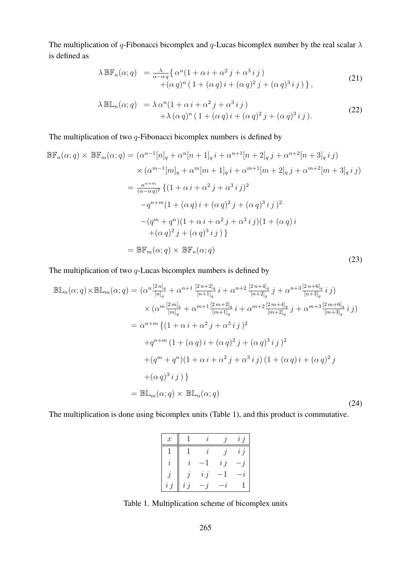The multiplication of q-Fibonacci bicomplex and q-Lucas bicomplex number by the real scalar  $\lambda$ is defined as

$$
\lambda \mathbb{BF}_n(\alpha; q) = \frac{\lambda}{\alpha - \alpha q} \{ \alpha^n (1 + \alpha i + \alpha^2 j + \alpha^3 i j) + (\alpha q)^n (1 + (\alpha q) i + (\alpha q)^2 j + (\alpha q)^3 i j) \},
$$
\n(21)

$$
\lambda \mathbb{B} \mathbb{L}_n(\alpha; q) = \lambda \alpha^n (1 + \alpha i + \alpha^2 j + \alpha^3 i j) + \lambda (\alpha q)^n (1 + (\alpha q) i + (\alpha q)^2 j + (\alpha q)^3 i j).
$$
 (22)

The multiplication of two  $q$ -Fibonacci bicomplex numbers is defined by

$$
\mathbb{BF}_{n}(\alpha;q) \times \mathbb{BF}_{m}(\alpha;q) = (\alpha^{n-1}[n]_{q} + \alpha^{n}[n+1]_{q} i + \alpha^{n+1}[n+2]_{q} j + \alpha^{n+2}[n+3]_{q} i j)
$$
  
\n
$$
\times (\alpha^{m-1}[m]_{q} + \alpha^{m}[m+1]_{q} i + \alpha^{m+1}[m+2]_{q} j + \alpha^{m+2}[m+3]_{q} i j)
$$
  
\n
$$
= \frac{\alpha^{n+m}}{(\alpha-\alpha q)^{2}} \{ (1 + \alpha i + \alpha^{2} j + \alpha^{3} i j)^{2}
$$
  
\n
$$
-q^{n+m}(1 + (\alpha q) i + (\alpha q)^{2} j + (\alpha q)^{3} i j)^{2}
$$
  
\n
$$
-(q^{m} + q^{n})(1 + \alpha i + \alpha^{2} j + \alpha^{3} i j)(1 + (\alpha q) i
$$
  
\n
$$
+(\alpha q)^{2} j + (\alpha q)^{3} i j ) \}
$$
  
\n
$$
= \mathbb{BF}_{m}(\alpha;q) \times \mathbb{BF}_{n}(\alpha;q)
$$
  
\n(23)

The multiplication of two  $q$ -Lucas bicomplex numbers is defined by

$$
\mathbb{B}\mathbb{L}_{n}(\alpha;q) \times \mathbb{B}\mathbb{L}_{m}(\alpha;q) = (\alpha^{n} \frac{[2n]_{q}}{[n]_{q}} + \alpha^{n+1} \frac{[2n+2]_{q}}{[n+1]_{q}} i + \alpha^{n+2} \frac{[2n+4]_{q}}{[n+2]_{q}} j + \alpha^{n+3} \frac{[2n+6]_{q}}{[n+3]_{q}} i j)
$$
  
\n
$$
\times (\alpha^{m} \frac{[2m]_{q}}{[m]_{q}} + \alpha^{m+1} \frac{[2m+2]_{q}}{[m+1]_{q}} i + \alpha^{m+2} \frac{[2m+4]_{q}}{[m+2]_{q}} j + \alpha^{m+3} \frac{[2m+6]_{q}}{[m+3]_{q}} i j)
$$
  
\n
$$
= \alpha^{n+m} \{ (1 + \alpha i + \alpha^{2} j + \alpha^{3} i j)^{2}
$$
  
\n
$$
+ q^{n+m} (1 + (\alpha q) i + (\alpha q)^{2} j + (\alpha q)^{3} i j)^{2}
$$
  
\n
$$
+ (\alpha^{m} + q^{n})(1 + \alpha i + \alpha^{2} j + \alpha^{3} i j) (1 + (\alpha q) i + (\alpha q)^{2} j + (\alpha q)^{3} i j) \}
$$
  
\n
$$
= \mathbb{B}\mathbb{L}_{m}(\alpha;q) \times \mathbb{B}\mathbb{L}_{n}(\alpha;q)
$$
  
\n(24)

The multiplication is done using bicomplex units (Table 1), and this product is commutative.

| $\boldsymbol{x}$    |                     |        |        | $\overline{i}$ $\overline{j}$ |
|---------------------|---------------------|--------|--------|-------------------------------|
|                     |                     | 2.     |        | $i\,j$                        |
| $\boldsymbol{\eta}$ | $\boldsymbol{\eta}$ |        | $i\,j$ |                               |
|                     |                     | $i\,j$ |        | $\boldsymbol{\eta}$           |
| i, j                | $i\,j$              |        |        |                               |

Table 1. Multiplication scheme of bicomplex units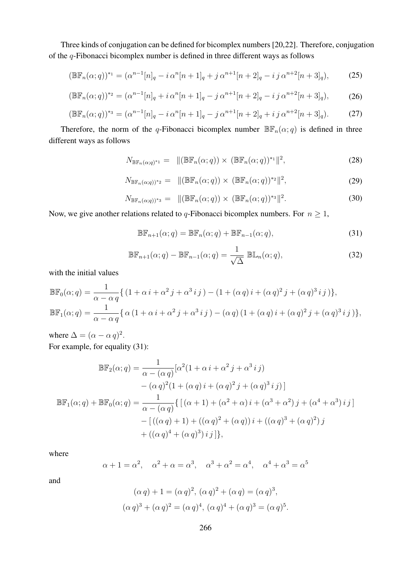Three kinds of conjugation can be defined for bicomplex numbers [20,22]. Therefore, conjugation of the q-Fibonacci bicomplex number is defined in three different ways as follows

$$
(\mathbb{BF}_n(\alpha;q))^{*_1} = (\alpha^{n-1}[n]_q - i \alpha^n[n+1]_q + j \alpha^{n+1}[n+2]_q - ij \alpha^{n+2}[n+3]_q),\tag{25}
$$

$$
(\mathbb{BF}_n(\alpha;q))^{*_2} = (\alpha^{n-1}[n]_q + i \alpha^n [n+1]_q - j \alpha^{n+1}[n+2]_q - ij \alpha^{n+2}[n+3]_q),\tag{26}
$$

$$
(\mathbb{BF}_n(\alpha;q))^{*_3} = (\alpha^{n-1}[n]_q - i \alpha^n [n+1]_q - j \alpha^{n+1}[n+2]_q + ij \alpha^{n+2}[n+3]_q). \tag{27}
$$

Therefore, the norm of the q-Fibonacci bicomplex number  $\mathbb{BF}_n(\alpha; q)$  is defined in three different ways as follows

$$
N_{\mathbb{BF}_n(\alpha;q)^{*1}} = \Vert (\mathbb{BF}_n(\alpha;q)) \times (\mathbb{BF}_n(\alpha;q))^{*1} \Vert^2,
$$
\n(28)

$$
N_{\mathbb{BF}_n(\alpha;q))^*2} = \|\left(\mathbb{BF}_n(\alpha;q)\right) \times \left(\mathbb{BF}_n(\alpha;q)\right)^{*2}\|^2,\tag{29}
$$

$$
N_{\mathbb{BF}_n(\alpha;q))^*3} = \|\left(\mathbb{BF}_n(\alpha;q)\right) \times \left(\mathbb{BF}_n(\alpha;q)\right)^{*3}\|^2. \tag{30}
$$

Now, we give another relations related to q-Fibonacci bicomplex numbers. For  $n \geq 1$ ,

$$
\mathbb{BF}_{n+1}(\alpha;q) = \mathbb{BF}_n(\alpha;q) + \mathbb{BF}_{n-1}(\alpha;q),\tag{31}
$$

$$
\mathbb{BF}_{n+1}(\alpha;q) - \mathbb{BF}_{n-1}(\alpha;q) = \frac{1}{\sqrt{\Delta}} \mathbb{BL}_n(\alpha;q),\tag{32}
$$

with the initial values

$$
\mathbb{BF}_0(\alpha;q) = \frac{1}{\alpha - \alpha q} \{ (1 + \alpha i + \alpha^2 j + \alpha^3 i j) - (1 + (\alpha q) i + (\alpha q)^2 j + (\alpha q)^3 i j) \},
$$
  

$$
\mathbb{BF}_1(\alpha;q) = \frac{1}{\alpha - \alpha q} \{ \alpha (1 + \alpha i + \alpha^2 j + \alpha^3 i j) - (\alpha q) (1 + (\alpha q) i + (\alpha q)^2 j + (\alpha q)^3 i j) \},
$$

where  $\Delta = (\alpha - \alpha q)^2$ . For example, for equality (31):

$$
\mathbb{BF}_{2}(\alpha;q) = \frac{1}{\alpha - (\alpha q)} [\alpha^{2} (1 + \alpha i + \alpha^{2} j + \alpha^{3} i j) \n- (\alpha q)^{2} (1 + (\alpha q) i + (\alpha q)^{2} j + (\alpha q)^{3} i j)]
$$
\n
$$
\mathbb{BF}_{1}(\alpha;q) + \mathbb{BF}_{0}(\alpha;q) = \frac{1}{\alpha - (\alpha q)} \{ [(\alpha + 1) + (\alpha^{2} + \alpha) i + (\alpha^{3} + \alpha^{2}) j + (\alpha^{4} + \alpha^{3}) i j ] \n- [((\alpha q) + 1) + ((\alpha q)^{2} + (\alpha q)) i + ((\alpha q)^{3} + (\alpha q)^{2}) j \n+ ((\alpha q)^{4} + (\alpha q)^{3}) i j ] \},
$$

where

$$
\alpha + 1 = \alpha^2
$$
,  $\alpha^2 + \alpha = \alpha^3$ ,  $\alpha^3 + \alpha^2 = \alpha^4$ ,  $\alpha^4 + \alpha^3 = \alpha^5$ 

and

$$
(\alpha q) + 1 = (\alpha q)^2, \, (\alpha q)^2 + (\alpha q) = (\alpha q)^3, (\alpha q)^3 + (\alpha q)^2 = (\alpha q)^4, \, (\alpha q)^4 + (\alpha q)^3 = (\alpha q)^5.
$$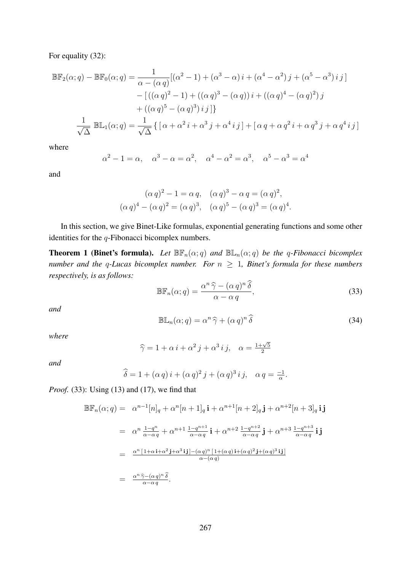For equality (32):

$$
\mathbb{BF}_{2}(\alpha;q) - \mathbb{BF}_{0}(\alpha;q) = \frac{1}{\alpha - (\alpha q)}[(\alpha^{2} - 1) + (\alpha^{3} - \alpha)i + (\alpha^{4} - \alpha^{2})j + (\alpha^{5} - \alpha^{3})ij] \\
- [((\alpha q)^{2} - 1) + ((\alpha q)^{3} - (\alpha q))i + ((\alpha q)^{4} - (\alpha q)^{2})j \\
+ ((\alpha q)^{5} - (\alpha q)^{3})ij] \}
$$
\n
$$
\frac{1}{\sqrt{\Delta}} \mathbb{BE}_{1}(\alpha;q) = \frac{1}{\sqrt{\Delta}} \{ [\alpha + \alpha^{2}i + \alpha^{3}j + \alpha^{4}ij] + [\alpha q + \alpha q^{2}i + \alpha q^{3}j + \alpha q^{4}ij] \}
$$

where

$$
\alpha^2 - 1 = \alpha
$$
,  $\alpha^3 - \alpha = \alpha^2$ ,  $\alpha^4 - \alpha^2 = \alpha^3$ ,  $\alpha^5 - \alpha^3 = \alpha^4$ 

and

$$
(\alpha q)^2 - 1 = \alpha q, \quad (\alpha q)^3 - \alpha q = (\alpha q)^2, (\alpha q)^4 - (\alpha q)^2 = (\alpha q)^3, \quad (\alpha q)^5 - (\alpha q)^3 = (\alpha q)^4.
$$

In this section, we give Binet-Like formulas, exponential generating functions and some other identities for the  $q$ -Fibonacci bicomplex numbers.

**Theorem 1 (Binet's formula).** Let  $\mathbb{BF}_n(\alpha; q)$  and  $\mathbb{BL}_n(\alpha; q)$  be the q-Fibonacci bicomplex *number and the q-Lucas bicomplex number. For*  $n \geq 1$ *, Binet's formula for these numbers respectively, is as follows:*

$$
\mathbb{BF}_n(\alpha; q) = \frac{\alpha^n \,\widehat{\gamma} - (\alpha \,q)^n \,\widehat{\delta}}{\alpha - \alpha \,q},\tag{33}
$$

*and*

$$
\mathbb{B}\mathbb{L}_n(\alpha;q) = \alpha^n \,\widehat{\gamma} + (\alpha \,q)^n \,\widehat{\delta} \tag{34}
$$

*where*

$$
\widehat{\gamma} = 1 + \alpha i + \alpha^2 j + \alpha^3 i j, \quad \alpha = \frac{1 + \sqrt{5}}{2}
$$

*and*

$$
\widehat{\delta} = 1 + (\alpha q) i + (\alpha q)^2 j + (\alpha q)^3 i j, \quad \alpha q = \frac{-1}{\alpha}.
$$

*Proof.* (33): Using (13) and (17), we find that

$$
\mathbb{B}\mathbb{F}_{n}(\alpha;q) = \alpha^{n-1}[n]_{q} + \alpha^{n}[n+1]_{q}\mathbf{i} + \alpha^{n+1}[n+2]_{q}\mathbf{j} + \alpha^{n+2}[n+3]_{q}\mathbf{ij}
$$
  
\n
$$
= \alpha^{n}\frac{1-q^{n}}{\alpha-\alpha q} + \alpha^{n+1}\frac{1-q^{n+1}}{\alpha-\alpha q}\mathbf{i} + \alpha^{n+2}\frac{1-q^{n+2}}{\alpha-\alpha q}\mathbf{j} + \alpha^{n+3}\frac{1-q^{n+3}}{\alpha-\alpha q}\mathbf{i}\mathbf{j}
$$
  
\n
$$
= \frac{\alpha^{n}[1+\alpha\mathbf{i}+\alpha^{2}\mathbf{j}+\alpha^{3}\mathbf{i}\mathbf{j}]-(\alpha q)^{n}[1+(\alpha q)\mathbf{i}+(\alpha q)^{2}\mathbf{j}+(\alpha q)^{3}\mathbf{i}\mathbf{j}]}{\alpha-(\alpha q)}
$$
  
\n
$$
= \frac{\alpha^{n}\widehat{\gamma}-(\alpha q)^{n}\widehat{\delta}}{\alpha-\alpha q}.
$$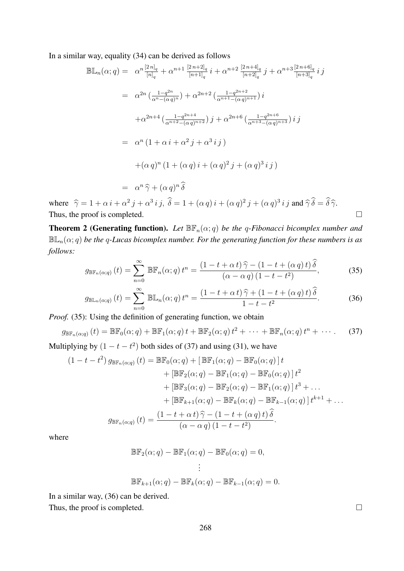In a similar way, equality (34) can be derived as follows

$$
\mathbb{B}\mathbb{L}_{n}(\alpha;q) = \alpha^{n} \frac{[2n]_{q}}{[n]_{q}} + \alpha^{n+1} \frac{[2n+2]_{q}}{[n+1]_{q}} i + \alpha^{n+2} \frac{[2n+4]_{q}}{[n+2]_{q}} j + \alpha^{n+3} \frac{[2n+6]_{q}}{[n+3]_{q}} i j
$$
  
\n
$$
= \alpha^{2n} \left( \frac{1-q^{2n}}{\alpha^{n}-(\alpha q)^{n}} \right) + \alpha^{2n+2} \left( \frac{1-q^{2n+2}}{\alpha^{n+1}-(\alpha q)^{n+1}} \right) i
$$
  
\n
$$
+ \alpha^{2n+4} \left( \frac{1-q^{2n+4}}{\alpha^{n+2}-(\alpha q)^{n+2}} \right) j + \alpha^{2n+6} \left( \frac{1-q^{2n+6}}{\alpha^{n+3}-(\alpha q)^{n+3}} \right) i j
$$
  
\n
$$
= \alpha^{n} \left( 1 + \alpha i + \alpha^{2} j + \alpha^{3} i j \right)
$$
  
\n
$$
+ (\alpha q)^{n} \left( 1 + (\alpha q) i + (\alpha q)^{2} j + (\alpha q)^{3} i j \right)
$$
  
\n
$$
= \alpha^{n} \hat{\gamma} + (\alpha q)^{n} \hat{\delta}
$$

where  $\hat{\gamma} = 1 + \alpha i + \alpha^2 j + \alpha^3 i j$ ,  $\hat{\delta} = 1 + (\alpha q) i + (\alpha q)^2 j + (\alpha q)^3 i j$  and  $\hat{\gamma} \hat{\delta} = \hat{\delta} \hat{\gamma}$ . Thus, the proof is completed.  $\Box$ 

**Theorem 2 (Generating function).** Let  $\mathbb{BF}_n(\alpha; q)$  be the q-Fibonacci bicomplex number and  $\mathbb{BL}_n(\alpha; q)$  *be the q-Lucas bicomplex number. For the generating function for these numbers is as follows:*

$$
g_{\mathbb{BF}_n(\alpha;q)}(t) = \sum_{n=0}^{\infty} \mathbb{BF}_n(\alpha;q) t^n = \frac{(1-t+\alpha t)\,\widehat{\gamma} - (1-t+(\alpha q)t)\,\widehat{\delta}}{(\alpha-\alpha q)\,(1-t-t^2)},\tag{35}
$$

$$
g_{\mathbb{BL}_n(\alpha;q)}(t) = \sum_{n=0}^{\infty} \mathbb{BL}_n(\alpha;q) t^n = \frac{(1-t+\alpha t)\widehat{\gamma} + (1-t+(\alpha q)t)\widehat{\delta}}{1-t-t^2}.
$$
 (36)

*Proof.* (35): Using the definition of generating function, we obtain

$$
g_{\mathbb{BF}_n(\alpha;q)}(t) = \mathbb{BF}_0(\alpha;q) + \mathbb{BF}_1(\alpha;q) t + \mathbb{BF}_2(\alpha;q) t^2 + \cdots + \mathbb{BF}_n(\alpha;q) t^n + \cdots
$$
 (37)

Multiplying by  $(1 - t - t^2)$  both sides of (37) and using (31), we have

$$
(1 - t - t^2) g_{\mathbb{BF}_n(\alpha;q)}(t) = \mathbb{BF}_0(\alpha;q) + [\mathbb{BF}_1(\alpha;q) - \mathbb{BF}_0(\alpha;q)]t
$$
  
+ 
$$
[\mathbb{BF}_2(\alpha;q) - \mathbb{BF}_1(\alpha;q) - \mathbb{BF}_0(\alpha;q)]t^2
$$
  
+ 
$$
[\mathbb{BF}_3(\alpha;q) - \mathbb{BF}_2(\alpha;q) - \mathbb{BF}_1(\alpha;q)]t^3 + \dots
$$
  
+ 
$$
[\mathbb{BF}_{k+1}(\alpha;q) - \mathbb{BF}_k(\alpha;q) - \mathbb{BF}_{k-1}(\alpha;q)]t^{k+1} + \dots
$$
  

$$
g_{\mathbb{BF}_n(\alpha;q)}(t) = \frac{(1 - t + \alpha t)\hat{\gamma} - (1 - t + (\alpha q)t)\hat{\delta}}{(\alpha - \alpha q)(1 - t - t^2)}.
$$

where

$$
\mathbb{BF}_2(\alpha; q) - \mathbb{BF}_1(\alpha; q) - \mathbb{BF}_0(\alpha; q) = 0,
$$
  

$$
\vdots
$$
  

$$
\mathbb{BF}_{k+1}(\alpha; q) - \mathbb{BF}_k(\alpha; q) - \mathbb{BF}_{k-1}(\alpha; q) = 0.
$$

In a similar way, (36) can be derived.

Thus, the proof is completed.  $\Box$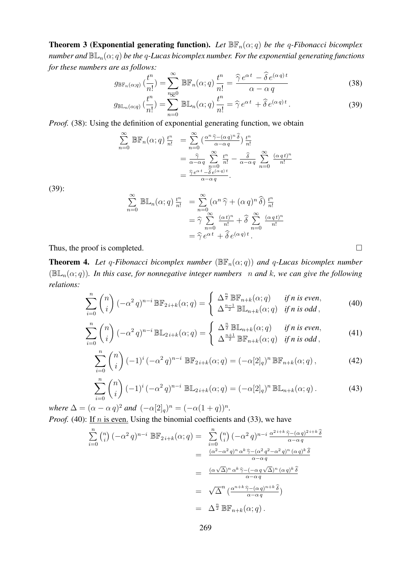**Theorem 3 (Exponential generating function).** Let  $\mathbb{BF}_n(\alpha; q)$  be the q-Fibonacci bicomplex *number and*  $\mathbb{BL}_n(\alpha; q)$  *be the q-Lucas bicomplex number. For the exponential generating functions for these numbers are as follows:*

$$
g_{\mathbb{BF}_n(\alpha;q)}\left(\frac{t^n}{n!}\right) = \sum_{n=0}^{\infty} \mathbb{BF}_n(\alpha;q) \frac{t^n}{n!} = \frac{\widehat{\gamma} e^{\alpha t} - \widehat{\delta} e^{(\alpha q)t}}{\alpha - \alpha q}
$$
(38)

$$
g_{\mathbb{BL}_n(\alpha;q)}\left(\frac{t^n}{n!}\right) = \sum_{n=0}^{n_{\overline{\infty}^0}} \mathbb{BL}_n(\alpha;q)\,\frac{t^n}{n!} = \widehat{\gamma} \,e^{\alpha \,t} + \widehat{\delta} \,e^{(\alpha \,q) \,t} \,. \tag{39}
$$

*Proof.* (38): Using the definition of exponential generating function, we obtain

$$
\sum_{n=0}^{\infty} \mathbb{BF}_n(\alpha; q) \frac{t^n}{n!} = \sum_{n=0}^{\infty} \left( \frac{\alpha^n \hat{\gamma} - (\alpha q)^n \hat{\delta}}{\alpha - \alpha q} \right) \frac{t^n}{n!}
$$

$$
= \frac{\hat{\gamma}}{\alpha - \alpha q} \sum_{n=0}^{\infty} \frac{t^n}{n!} - \frac{\hat{\delta}}{\alpha - \alpha q} \sum_{n=0}^{\infty} \frac{(\alpha q t)^n}{n!}
$$

$$
= \frac{\hat{\gamma} e^{\alpha t} - \hat{\delta} e^{(\alpha q)t}}{\alpha - \alpha q}.
$$

(39):

$$
\sum_{n=0}^{\infty} \mathbb{B} \mathbb{L}_n(\alpha; q) \frac{t^n}{n!} = \sum_{n=0}^{\infty} (\alpha^n \hat{\gamma} + (\alpha q)^n \hat{\delta}) \frac{t^n}{n!}
$$

$$
= \hat{\gamma} \sum_{n=0}^{\infty} \frac{(\alpha t)^n}{n!} + \hat{\delta} \sum_{n=0}^{\infty} \frac{(\alpha q t)^n}{n!}
$$

$$
= \hat{\gamma} e^{\alpha t} + \hat{\delta} e^{(\alpha q)t}.
$$

Thus, the proof is completed.  $\Box$ 

**Theorem 4.** Let q-Fibonacci bicomplex number  $(\mathbb{BF}_n(\alpha; q))$  and q-Lucas bicomplex number  $(\mathbb{B} \mathbb{L}_n(\alpha; q))$ *. In this case, for nonnegative integer numbers n and k, we can give the following relations:*

$$
\sum_{i=0}^{n} \binom{n}{i} \left(-\alpha^{2} q\right)^{n-i} \mathbb{BF}_{2i+k}(\alpha; q) = \begin{cases} \Delta^{\frac{n}{2}} \mathbb{BF}_{n+k}(\alpha; q) & \text{if } n \text{ is even,} \\ \Delta^{\frac{n-1}{2}} \mathbb{BF}_{n+k}(\alpha; q) & \text{if } n \text{ is odd,} \end{cases}
$$
(40)

$$
\sum_{i=0}^{n} \binom{n}{i} \left(-\alpha^{2} q\right)^{n-i} \mathbb{BL}_{2i+k}(\alpha; q) = \begin{cases} \Delta^{\frac{n}{2}} \mathbb{BL}_{n+k}(\alpha; q) & \text{if } n \text{ is even,} \\ \Delta^{\frac{n+1}{2}} \mathbb{BF}_{n+k}(\alpha; q) & \text{if } n \text{ is odd,} \end{cases}
$$
(41)

$$
\sum_{i=0}^{n} \binom{n}{i} \left(-1\right)^{i} \left(-\alpha^{2} q\right)^{n-i} \mathbb{B} \mathbb{F}_{2i+k}(\alpha; q) = \left(-\alpha [2]_{q}\right)^{n} \mathbb{B} \mathbb{F}_{n+k}(\alpha; q) ,\tag{42}
$$

$$
\sum_{i=0}^{n} \binom{n}{i} \left(-1\right)^{i} \left(-\alpha^{2} q\right)^{n-i} \mathbb{B} \mathbb{L}_{2i+k}(\alpha; q) = \left(-\alpha [2]_{q}\right)^{n} \mathbb{B} \mathbb{L}_{n+k}(\alpha; q). \tag{43}
$$

*where*  $\Delta = (\alpha - \alpha q)^2$  *and*  $(-\alpha [2]_q)^n = (-\alpha (1+q))^n$ . *Proof.* (40): If  $n$  is even. Using the binomial coefficients and (33), we have

$$
\sum_{i=0}^{n} \binom{n}{i} \left(-\alpha^{2} q\right)^{n-i} \mathbb{B} \mathbb{F}_{2i+k}(\alpha; q) = \sum_{i=0}^{n} \binom{n}{i} \left(-\alpha^{2} q\right)^{n-i} \frac{\alpha^{2i+k} \hat{\gamma} - (\alpha q)^{2i+k} \hat{\delta}^{2i}}{\alpha - \alpha q}
$$
\n
$$
= \frac{(\alpha^{2} - \alpha^{2} q)^{n} \alpha^{k} \hat{\gamma} - (\alpha^{2} q^{2} - \alpha^{2} q)^{n} (\alpha q)^{k} \hat{\delta}^{2i}}{\alpha - \alpha q}
$$
\n
$$
= \sqrt{\Delta}^{n} \left(\frac{\alpha^{n+k} \hat{\gamma} - (\alpha q)^{n+k} \hat{\delta}}{\alpha - \alpha q}\right)
$$
\n
$$
= \sqrt{\Delta}^{n} \left(\frac{\alpha^{n+k} \hat{\gamma} - (\alpha q)^{n+k} \hat{\delta}}{\alpha - \alpha q}\right)
$$
\n
$$
= \Delta^{\frac{n}{2}} \mathbb{B} \mathbb{F}_{n+k}(\alpha; q).
$$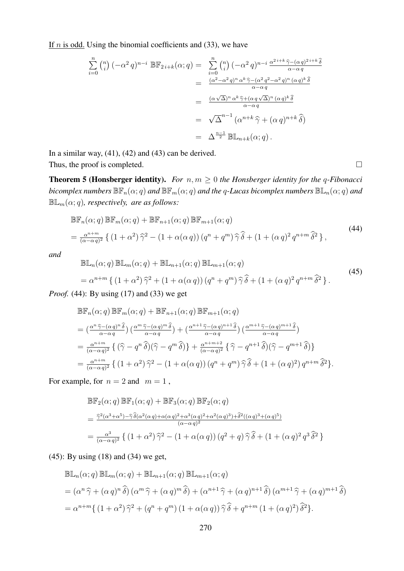If  $n$  is odd. Using the binomial coefficients and (33), we have

$$
\sum_{i=0}^{n} \binom{n}{i} \left(-\alpha^{2} q\right)^{n-i} \mathbb{B} \mathbb{F}_{2i+k}(\alpha; q) = \sum_{i=0}^{n} \binom{n}{i} \left(-\alpha^{2} q\right)^{n-i} \frac{\alpha^{2i+k} \hat{\gamma} - (\alpha q)^{2i+k} \hat{\delta} \cdot (\alpha^{2} q^{2i+k} \hat{\delta} + \alpha^{2} q^{2i+k} \hat{\delta} \cdot (\alpha^{2} q^{2}) \cdot (\alpha^{2} q^{2}) \cdot (\alpha^{2} q^{2}) \cdot (\alpha^{2} q^{2}) \cdot (\alpha^{2} q^{2}) \cdot (\alpha^{2} q^{2}) \cdot (\alpha^{2} q^{2}) \cdot (\alpha^{2} q^{2}) \cdot (\alpha^{2} q^{2}) \cdot (\alpha^{2} q^{2}) \cdot (\alpha^{2} q^{2}) \cdot (\alpha^{2} q^{2}) \cdot (\alpha^{2} q^{2}) \cdot (\alpha^{2} q^{2}) \cdot (\alpha^{2} q^{2}) \cdot (\alpha^{2} q^{2}) \cdot (\alpha^{2} q^{2}) \cdot (\alpha^{2} q^{2}) \cdot (\alpha^{2} q^{2}) \cdot (\alpha^{2} q^{2}) \cdot (\alpha^{2} q^{2}) \cdot (\alpha^{2} q^{2}) \cdot (\alpha^{2} q^{2}) \cdot (\alpha^{2} q^{2}) \cdot (\alpha^{2} q^{2}) \cdot (\alpha^{2} q^{2}) \cdot (\alpha^{2} q^{2}) \cdot (\alpha^{2} q^{2}) \cdot (\alpha^{2} q^{2}) \cdot (\alpha^{2} q^{2}) \cdot (\alpha^{2} q^{2}) \cdot (\alpha^{2} q^{2}) \cdot (\alpha^{2} q^{2}) \cdot (\alpha^{2} q^{2}) \cdot (\alpha^{2} q^{2}) \cdot (\alpha^{2} q^{2}) \cdot (\alpha^{2} q^{2}) \cdot (\alpha^{2} q^{2}) \cdot (\alpha^{2} q^{2}) \cdot (\alpha^{2} q^{2}) \cdot (\alpha^{2} q^{2}) \cdot (\alpha^{2} q^{2}) \cdot (\alpha^{2} q^{2}) \cdot (\alpha^{2} q^{2}) \cdot (\alpha^{2} q^{2}) \cdot (\alpha^{2} q^{2}) \cdot (\alpha^{2} q^{2}) \cdot (\alpha^{2} q^{2}) \cdot (\alpha^{2} q^{2}) \cdot (\alpha^{2} q^{2}) \cdot (\alpha^{2} q^{2}) \cdot (\alpha^{2} q^{2}) \cdot (\alpha^{2} q^{2}) \cdot (\alpha^{2} q^{2}) \cdot (\alpha^{2} q^{2}) \cdot (\
$$

In a similar way, (41), (42) and (43) can be derived.

Thus, the proof is completed.  $\Box$ 

**Theorem 5 (Honsberger identity).** *For*  $n, m \geq 0$  *the Honsberger identity for the q-Fibonacci bicomplex numbers*  $\mathbb{BF}_n(\alpha;q)$  *and*  $\mathbb{BF}_m(\alpha;q)$  *and the q-Lucas bicomplex numbers*  $\mathbb{BL}_n(\alpha;q)$  *and*  $\mathbb{BL}_m(\alpha;q)$ , respectively, are as follows:

$$
\mathbb{BF}_{n}(\alpha;q) \mathbb{BF}_{m}(\alpha;q) + \mathbb{BF}_{n+1}(\alpha;q) \mathbb{BF}_{m+1}(\alpha;q)
$$
  
= 
$$
\frac{\alpha^{n+m}}{(\alpha-\alpha q)^{2}} \left\{ (1+\alpha^{2}) \hat{\gamma}^{2} - (1+\alpha(\alpha q)) (q^{n}+q^{m}) \hat{\gamma} \hat{\delta} + (1+(\alpha q)^{2} q^{n+m} \hat{\delta}^{2}) \right\},
$$
 (44)

*and*

$$
\mathbb{BL}_n(\alpha;q) \mathbb{BL}_m(\alpha;q) + \mathbb{BL}_{n+1}(\alpha;q) \mathbb{BL}_{m+1}(\alpha;q)
$$
  
=  $\alpha^{n+m} \{ (1+\alpha^2)\hat{\gamma}^2 + (1+\alpha(\alpha q))(q^n + q^m)\hat{\gamma}\hat{\delta} + (1+(\alpha q)^2 q^{n+m}\hat{\delta}^2) \}.$  (45)

*Proof.* (44): By using (17) and (33) we get

$$
\mathbb{BF}_{n}(\alpha;q) \mathbb{BF}_{m}(\alpha;q) + \mathbb{BF}_{n+1}(\alpha;q) \mathbb{BF}_{m+1}(\alpha;q)
$$
\n
$$
= \left(\frac{\alpha^{n} \hat{\gamma} - (\alpha q)^{n} \hat{\delta}}{\alpha - \alpha q}\right) \left(\frac{\alpha^{m} \hat{\gamma} - (\alpha q)^{m} \hat{\delta}}{\alpha - \alpha q}\right) + \left(\frac{\alpha^{n+1} \hat{\gamma} - (\alpha q)^{n+1} \hat{\delta}}{\alpha - \alpha q}\right) \left(\frac{\alpha^{m+1} \hat{\gamma} - (\alpha q)^{m+1} \hat{\delta}}{\alpha - \alpha q}\right)
$$
\n
$$
= \frac{\alpha^{n+m}}{(\alpha - \alpha q)^{2}} \left\{ \left(\hat{\gamma} - q^{n} \hat{\delta}\right) \left(\hat{\gamma} - q^{m} \hat{\delta}\right) \right\} + \frac{\alpha^{n+m+2}}{(\alpha - \alpha q)^{2}} \left\{ \hat{\gamma} - q^{n+1} \hat{\delta}\right) \left(\hat{\gamma} - q^{m+1} \hat{\delta}\right) \right\}
$$
\n
$$
= \frac{\alpha^{n+m}}{(\alpha - \alpha q)^{2}} \left\{ \left(1 + \alpha^{2}\right) \hat{\gamma}^{2} - \left(1 + \alpha(\alpha q)\right) \left(q^{n} + q^{m}\right) \hat{\gamma} \hat{\delta} + \left(1 + (\alpha q)^{2}\right) q^{n+m} \hat{\delta}^{2} \right\}.
$$

For example, for  $n = 2$  and  $m = 1$ ,

$$
\mathbb{BF}_{2}(\alpha;q) \mathbb{BF}_{1}(\alpha;q) + \mathbb{BF}_{3}(\alpha;q) \mathbb{BF}_{2}(\alpha;q)
$$
  
= 
$$
\frac{\hat{\gamma}^{2}(\alpha^{3}+\alpha^{5})-\hat{\gamma}\hat{\delta}(\alpha^{2}(\alpha q)+\alpha(\alpha q)^{2}+\alpha^{3}(\alpha q)^{2}+\alpha^{2}(\alpha q)^{3})+\hat{\delta}^{2}((\alpha q)^{3}+(\alpha q)^{5})}{(\alpha-\alpha q)^{2}}
$$
  
= 
$$
\frac{\alpha^{3}}{(\alpha-\alpha q)^{2}} \left\{ (1+\alpha^{2})\hat{\gamma}^{2} - (1+\alpha(\alpha q)) (q^{2}+q)\hat{\gamma}\hat{\delta} + (1+(\alpha q)^{2}q^{3}\hat{\delta}^{2}) \right\}
$$

(45): By using (18) and (34) we get,

$$
\mathbb{BL}_n(\alpha;q) \mathbb{BL}_m(\alpha;q) + \mathbb{BL}_{n+1}(\alpha;q) \mathbb{BL}_{m+1}(\alpha;q)
$$
  
=  $(\alpha^n \hat{\gamma} + (\alpha q)^n \hat{\delta}) (\alpha^m \hat{\gamma} + (\alpha q)^m \hat{\delta}) + (\alpha^{n+1} \hat{\gamma} + (\alpha q)^{n+1} \hat{\delta}) (\alpha^{m+1} \hat{\gamma} + (\alpha q)^{m+1} \hat{\delta})$   
=  $\alpha^{n+m} \{ (1 + \alpha^2) \hat{\gamma}^2 + (q^n + q^m) (1 + \alpha(\alpha q)) \hat{\gamma} \hat{\delta} + q^{n+m} (1 + (\alpha q)^2) \hat{\delta}^2 \}.$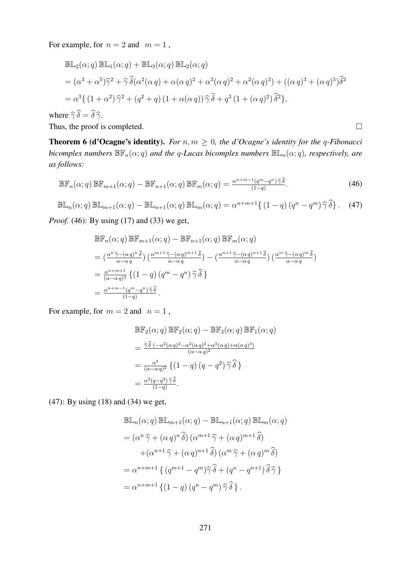For example, for  $n = 2$  and  $m = 1$ ,

$$
\mathbb{B}\mathbb{L}_{2}(\alpha;q) \mathbb{B}\mathbb{L}_{1}(\alpha;q) + \mathbb{B}\mathbb{L}_{3}(\alpha;q) \mathbb{B}\mathbb{L}_{2}(\alpha;q)
$$
  
=  $(\alpha^{3} + \alpha^{5})\hat{\gamma}^{2} + \hat{\gamma}\hat{\delta}(\alpha^{2}(\alpha q) + \alpha(\alpha q)^{2} + \alpha^{3}(\alpha q)^{2} + \alpha^{2}(\alpha q)^{3}) + ((\alpha q)^{3} + (\alpha q)^{5})\hat{\delta}^{2}$   
=  $\alpha^{3}\{(1 + \alpha^{2})\hat{\gamma}^{2} + (q^{2} + q)(1 + \alpha(\alpha q))\hat{\gamma}\hat{\delta} + q^{3}(1 + (\alpha q)^{2})\hat{\delta}^{2}\},$   
re  $\hat{\delta}\hat{\delta} - \hat{\delta}\hat{\delta}$ 

where  $\hat{\gamma} \delta = \delta \hat{\gamma}$ .

Thus, the proof is completed.  $\Box$ 

**Theorem 6 (d'Ocagne's identity).** *For*  $n, m \geq 0$ *, the d'Ocagne's identity for the q-Fibonacci bicomplex numbers*  $\mathbb{BF}_n(\alpha; q)$  *and the q-Lucas bicomplex numbers*  $\mathbb{BE}_n(\alpha; q)$ *, respectively, are as follows:*

$$
\mathbb{BF}_n(\alpha;q)\,\mathbb{BF}_{m+1}(\alpha;q) - \mathbb{BF}_{n+1}(\alpha;q)\,\mathbb{BF}_m(\alpha;q) = \frac{\alpha^{n+m-1}(q^m - q^n)\,\widehat{\gamma}\,\widehat{\delta}}{(1-q)}.\tag{46}
$$

$$
\mathbb{B}\mathbb{L}_n(\alpha;q)\,\mathbb{B}\mathbb{L}_{m+1}(\alpha;q)-\mathbb{B}\mathbb{L}_{n+1}(\alpha;q)\,\mathbb{B}\mathbb{L}_m(\alpha;q)=\alpha^{n+m+1}\{(1-q)(q^n-q^m)\,\widehat{\gamma}\,\widehat{\delta}\}.\tag{47}
$$

*Proof.* (46): By using (17) and (33) we get,

$$
\mathbb{BF}_{n}(\alpha;q) \mathbb{BF}_{m+1}(\alpha;q) - \mathbb{BF}_{n+1}(\alpha;q) \mathbb{BF}_{m}(\alpha;q)
$$
\n
$$
= \left(\frac{\alpha^{n} \hat{\gamma} - (\alpha q)^{n} \hat{\delta}}{\alpha - \alpha q}\right) \left(\frac{\alpha^{m+1} \hat{\gamma} - (\alpha q)^{m+1} \hat{\delta}}{\alpha - \alpha q}\right) - \left(\frac{\alpha^{n+1} \hat{\gamma} - (\alpha q)^{n+1} \hat{\delta}}{\alpha - \alpha q}\right) \left(\frac{\alpha^{m} \hat{\gamma} - (\alpha q)^{m} \hat{\delta}}{\alpha - \alpha q}\right)
$$
\n
$$
= \frac{\alpha^{n+m+1}}{(\alpha - \alpha q)^{2}} \left\{ \left(1 - q\right) \left(q^{m} - q^{n}\right) \hat{\gamma} \hat{\delta} \right\}
$$
\n
$$
= \frac{\alpha^{n+m-1} (q^{m} - q^{n}) \hat{\gamma} \hat{\delta}}{(1-q)}.
$$

For example, for  $m = 2$  and  $n = 1$ ,

$$
\mathbb{BF}_2(\alpha;q) \mathbb{BF}_2(\alpha;q) - \mathbb{BF}_3(\alpha;q) \mathbb{BF}_1(\alpha;q)
$$
  
= 
$$
\frac{\widehat{\gamma}\widehat{\delta}(-\alpha^2(\alpha q)^2 - \alpha^2(\alpha q)^2 + \alpha^3(\alpha q) + \alpha(\alpha q)^3)}{(\alpha - \alpha q)^2}
$$
  
= 
$$
\frac{\alpha^4}{(\alpha - \alpha q)^2} \left\{ (1 - q) (q - q^2) \widehat{\gamma} \widehat{\delta} \right\}
$$
  
= 
$$
\frac{\alpha^2(q - q^2) \widehat{\gamma} \widehat{\delta}}{(1 - q)}.
$$

(47): By using (18) and (34) we get,

$$
\mathbb{B}\mathbb{L}_{n}(\alpha;q) \mathbb{B}\mathbb{L}_{m+1}(\alpha;q) - \mathbb{B}\mathbb{L}_{n+1}(\alpha;q) \mathbb{B}\mathbb{L}_{m}(\alpha;q)
$$
  
=  $(\alpha^{n} \hat{\gamma} + (\alpha q)^{n} \hat{\delta}) (\alpha^{m+1} \hat{\gamma} + (\alpha q)^{m+1} \hat{\delta})$   
+ $(\alpha^{n+1} \hat{\gamma} + (\alpha q)^{n+1} \hat{\delta}) (\alpha^{m} \hat{\gamma} + (\alpha q)^{m} \hat{\delta})$   
=  $\alpha^{n+m+1} \{ (q^{m+1} - q^{m}) \hat{\gamma} \hat{\delta} + (q^{n} - q^{n+1}) \hat{\delta} \hat{\gamma} \}$   
=  $\alpha^{n+m+1} \{ (1-q) (q^{n} - q^{m}) \hat{\gamma} \hat{\delta} \}.$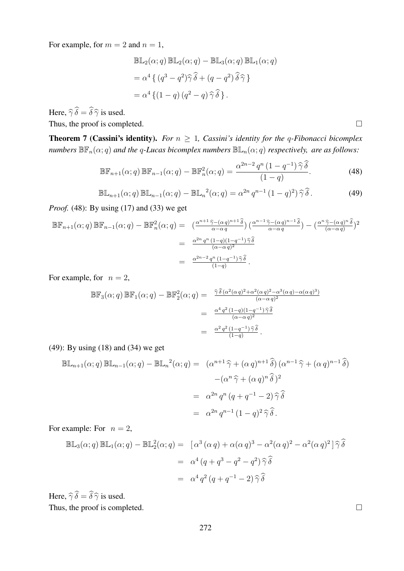For example, for  $m = 2$  and  $n = 1$ ,

$$
\mathbb{BL}_2(\alpha; q) \mathbb{BL}_2(\alpha; q) - \mathbb{BL}_3(\alpha; q) \mathbb{BL}_1(\alpha; q)
$$
  
=  $\alpha^4 \{ (q^3 - q^2) \hat{\gamma} \hat{\delta} + (q - q^2) \hat{\delta} \hat{\gamma} \}$   
=  $\alpha^4 \{ (1 - q) (q^2 - q) \hat{\gamma} \hat{\delta} \}.$ 

Here,  $\widehat{\gamma}\,\widehat{\delta} = \widehat{\delta}\,\widehat{\gamma}$  is used.

Thus, the proof is completed.  $\Box$ 

**Theorem 7 (Cassini's identity).** *For*  $n \geq 1$ *, Cassini's identity for the q-Fibonacci bicomplex numbers*  $\mathbb{BF}_n(\alpha; q)$  *and the q-Lucas bicomplex numbers*  $\mathbb{BE}_n(\alpha; q)$  *respectively, are as follows:* 

$$
\mathbb{BF}_{n+1}(\alpha;q)\,\mathbb{BF}_{n-1}(\alpha;q) - \mathbb{BF}_n^2(\alpha;q) = \frac{\alpha^{2n-2}q^n\,(1-q^{-1})\,\widehat{\gamma}\,\widehat{\delta}}{(1-q)}.\tag{48}
$$

$$
\mathbb{BL}_{n+1}(\alpha;q) \mathbb{BL}_{n-1}(\alpha;q) - \mathbb{BL}_n^2(\alpha;q) = \alpha^{2n} q^{n-1} (1-q)^2) \widehat{\gamma} \widehat{\delta}.
$$
 (49)

*Proof.* (48): By using (17) and (33) we get

$$
\mathbb{BF}_{n+1}(\alpha;q) \mathbb{BF}_{n-1}(\alpha;q) - \mathbb{BF}_{n}^{2}(\alpha;q) = \frac{(\frac{\alpha^{n+1} \hat{\gamma} - (\alpha q)^{n+1} \hat{\delta})}{\alpha - \alpha q} (\frac{\alpha^{n-1} \hat{\gamma} - (\alpha q)^{n-1} \hat{\delta})}{\alpha - \alpha q}) - (\frac{\frac{\alpha^{n+1} \hat{\gamma} - (\alpha q)^{n}}{\alpha - \alpha q})^{2}}{\alpha - \alpha q^{2}}
$$
  

$$
= \frac{\frac{\alpha^{2n} q^{n} (1-q)(1-q^{-1}) \hat{\gamma} \hat{\delta}}{(\alpha - \alpha q)^{2}}}{(1-q)^{2}}.
$$

For example, for  $n = 2$ ,

$$
\mathbb{BF}_3(\alpha;q) \mathbb{BF}_1(\alpha;q) - \mathbb{BF}_2^2(\alpha;q) = \frac{\hat{\gamma}\hat{\delta}(\alpha^2(\alpha q)^2 + \alpha^2(\alpha q)^2 - \alpha^3(\alpha q) - \alpha(\alpha q)^3)}{(\alpha - \alpha q)^2}
$$
  
= 
$$
\frac{\alpha^4 q^2 (1-q)(1-q^{-1})\hat{\gamma}\hat{\delta}}{(\alpha - \alpha q)^2}
$$
  
= 
$$
\frac{\alpha^2 q^2 (1-q^{-1})\hat{\gamma}\hat{\delta}}{(1-q)}.
$$

(49): By using (18) and (34) we get

$$
\mathbb{B}\mathbb{L}_{n+1}(\alpha;q)\,\mathbb{B}\mathbb{L}_{n-1}(\alpha;q) - \mathbb{B}\mathbb{L}_{n}^{2}(\alpha;q) = (\alpha^{n+1}\,\widehat{\gamma} + (\alpha\,q)^{n+1}\,\widehat{\delta})\,(\alpha^{n-1}\,\widehat{\gamma} + (\alpha\,q)^{n-1}\,\widehat{\delta})
$$

$$
-(\alpha^{n}\,\widehat{\gamma} + (\alpha\,q)^{n}\,\widehat{\delta})^{2}
$$

$$
= \alpha^{2n}\,q^{n}\,(q+q^{-1}-2)\,\widehat{\gamma}\,\widehat{\delta}
$$

$$
= \alpha^{2n}\,q^{n-1}\,(1-q)^{2}\,\widehat{\gamma}\,\widehat{\delta}.
$$

For example: For  $n = 2$ ,

$$
\mathbb{BL}_3(\alpha;q) \mathbb{BL}_1(\alpha;q) - \mathbb{BL}_2^2(\alpha;q) = [\alpha^3 (\alpha q) + \alpha(\alpha q)^3 - \alpha^2(\alpha q)^2 - \alpha^2(\alpha q)^2] \hat{\gamma} \hat{\delta}
$$
  
=  $\alpha^4 (q + q^3 - q^2 - q^2) \hat{\gamma} \hat{\delta}$   
=  $\alpha^4 q^2 (q + q^{-1} - 2) \hat{\gamma} \hat{\delta}$ 

Here,  $\widehat{\gamma}\widehat{\delta} = \widehat{\delta}\widehat{\gamma}$  is used.

Thus, the proof is completed.  $\Box$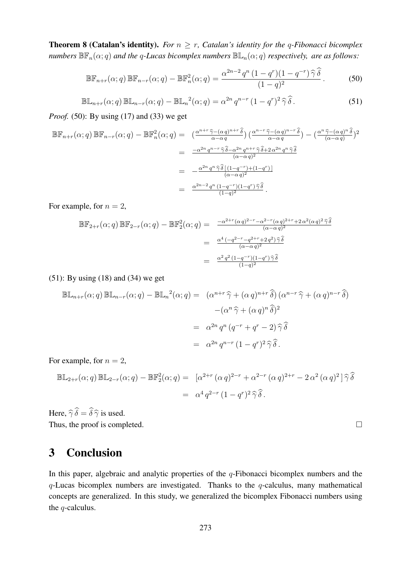**Theorem 8 (Catalan's identity).** *For*  $n \geq r$ *, Catalan's identity for the q-Fibonacci bicomplex numbers*  $\mathbb{BF}_n(\alpha; q)$  *and the q-Lucas bicomplex numbers*  $\mathbb{BE}_n(\alpha; q)$  *respectively, are as follows:* 

$$
\mathbb{BF}_{n+r}(\alpha;q)\,\mathbb{BF}_{n-r}(\alpha;q) - \mathbb{BF}_{n}^{2}(\alpha;q) = \frac{\alpha^{2n-2}q^{n}\left(1-q^{r}\right)\left(1-q^{-r}\right)\widehat{\gamma}\,\widehat{\delta}}{(1-q)^{2}}.\tag{50}
$$

$$
\mathbb{B}\mathbb{L}_{n+r}(\alpha;q)\,\mathbb{B}\mathbb{L}_{n-r}(\alpha;q)-\mathbb{B}\mathbb{L}_{n}^{2}(\alpha;q)=\alpha^{2n}\,q^{n-r}\,(1-q^{r})^{2}\,\widehat{\gamma}\,\widehat{\delta}\,.
$$

*Proof.* (50): By using (17) and (33) we get

$$
\mathbb{BF}_{n+r}(\alpha;q) \mathbb{BF}_{n-r}(\alpha;q) - \mathbb{BF}_{n}^{2}(\alpha;q) = \left(\frac{\alpha^{n+r} \hat{\gamma} - (\alpha q)^{n+r} \hat{\delta}}{\alpha - \alpha q}\right) \left(\frac{\alpha^{n-r} \hat{\gamma} - (\alpha q)^{n-r} \hat{\delta}}{\alpha - \alpha q}\right) - \left(\frac{\alpha^{n} \hat{\gamma} - (\alpha q)^{n} \hat{\delta}}{(\alpha - \alpha q)^{2}}\right)^{2}
$$

$$
= \frac{-\alpha^{2n} q^{n-r} \hat{\gamma} \hat{\delta} - \alpha^{2n} q^{n+r} \hat{\gamma} \hat{\delta} + 2 \alpha^{2n} q^{n} \hat{\gamma} \hat{\delta}}{(\alpha - \alpha q)^{2}}
$$

$$
= -\frac{\alpha^{2n} q^{n} \hat{\gamma} \hat{\delta}[(1 - q^{-r}) + (1 - q^{r})]}{(\alpha - \alpha q)^{2}}
$$

$$
= \frac{\alpha^{2n-2} q^{n} (1 - q^{-r})(1 - q^{r}) \hat{\gamma} \hat{\delta}}{(1 - q)^{2}}.
$$

For example, for  $n = 2$ ,

$$
\mathbb{BF}_{2+r}(\alpha;q) \mathbb{BF}_{2-r}(\alpha;q) - \mathbb{BF}_{2}^{2}(\alpha;q) = \frac{-\alpha^{2+r}(\alpha q)^{2-r} - \alpha^{2-r}(\alpha q)^{2+r} + 2\alpha^{2}(\alpha q)^{2}\hat{\gamma}\hat{\delta}}{(\alpha-\alpha q)^{2}}
$$

$$
= \frac{\alpha^{4}(-q^{2-r} - q^{2+r} + 2q^{2})\hat{\gamma}\hat{\delta}}{(\alpha-\alpha q)^{2}}
$$

$$
= \frac{\alpha^{2} q^{2} (1-q^{-r})(1-q^{r})\hat{\gamma}\hat{\delta}}{(1-q)^{2}}
$$

(51): By using (18) and (34) we get

$$
\mathbb{B}\mathbb{L}_{n+r}(\alpha;q)\,\mathbb{B}\mathbb{L}_{n-r}(\alpha;q) - \mathbb{B}\mathbb{L}_{n}^{2}(\alpha;q) = (\alpha^{n+r}\,\widehat{\gamma} + (\alpha\,q)^{n+r}\,\widehat{\delta})\,(\alpha^{n-r}\,\widehat{\gamma} + (\alpha\,q)^{n-r}\,\widehat{\delta})
$$

$$
-(\alpha^{n}\,\widehat{\gamma} + (\alpha\,q)^{n}\,\widehat{\delta})^{2}
$$

$$
= \alpha^{2n}\,q^{n}\,(q^{-r} + q^{r} - 2)\,\widehat{\gamma}\,\widehat{\delta}
$$

$$
= \alpha^{2n}\,q^{n-r}\,(1-q^{r})^{2}\,\widehat{\gamma}\,\widehat{\delta}.
$$

For example, for  $n = 2$ ,

$$
\mathbb{BL}_{2+r}(\alpha;q) \mathbb{BL}_{2-r}(\alpha;q) - \mathbb{BF}_{2}^{2}(\alpha;q) = [\alpha^{2+r} (\alpha q)^{2-r} + \alpha^{2-r} (\alpha q)^{2+r} - 2 \alpha^{2} (\alpha q)^{2}] \widehat{\gamma} \widehat{\delta}
$$
  
=  $\alpha^{4} q^{2-r} (1 - q^{r})^{2} \widehat{\gamma} \widehat{\delta}.$ 

Here,  $\widehat{\gamma}\widehat{\delta} = \widehat{\delta}\widehat{\gamma}$  is used. Thus, the proof is completed.

## 3 Conclusion

In this paper, algebraic and analytic properties of the  $q$ -Fibonacci bicomplex numbers and the  $q$ -Lucas bicomplex numbers are investigated. Thanks to the  $q$ -calculus, many mathematical concepts are generalized. In this study, we generalized the bicomplex Fibonacci numbers using the q-calculus.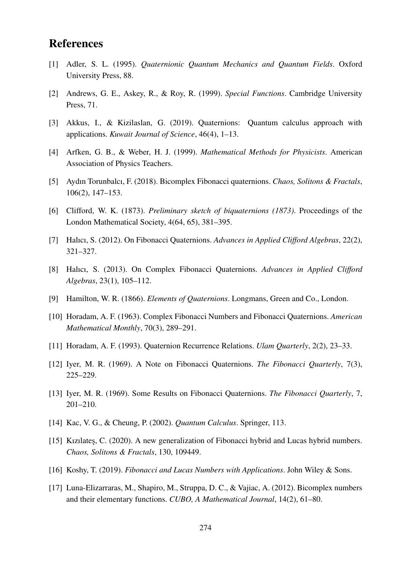# References

- [1] Adler, S. L. (1995). *Quaternionic Quantum Mechanics and Quantum Fields*. Oxford University Press, 88.
- [2] Andrews, G. E., Askey, R., & Roy, R. (1999). *Special Functions*. Cambridge University Press, 71.
- [3] Akkus, I., & Kizilaslan, G. (2019). Quaternions: Quantum calculus approach with applications. *Kuwait Journal of Science*, 46(4), 1–13.
- [4] Arfken, G. B., & Weber, H. J. (1999). *Mathematical Methods for Physicists*. American Association of Physics Teachers.
- [5] Aydın Torunbalcı, F. (2018). Bicomplex Fibonacci quaternions. *Chaos, Solitons & Fractals*, 106(2), 147–153.
- [6] Clifford, W. K. (1873). *Preliminary sketch of biquaternions (1873)*. Proceedings of the London Mathematical Society, 4(64, 65), 381–395.
- [7] Halıcı, S. (2012). On Fibonacci Quaternions. *Advances in Applied Clifford Algebras*, 22(2), 321–327.
- [8] Halıcı, S. (2013). On Complex Fibonacci Quaternions. *Advances in Applied Clifford Algebras*, 23(1), 105–112.
- [9] Hamilton, W. R. (1866). *Elements of Quaternions*. Longmans, Green and Co., London.
- [10] Horadam, A. F. (1963). Complex Fibonacci Numbers and Fibonacci Quaternions. *American Mathematical Monthly*, 70(3), 289–291.
- [11] Horadam, A. F. (1993). Quaternion Recurrence Relations. *Ulam Quarterly*, 2(2), 23–33.
- [12] Iyer, M. R. (1969). A Note on Fibonacci Quaternions. *The Fibonacci Quarterly*, 7(3), 225–229.
- [13] Iyer, M. R. (1969). Some Results on Fibonacci Quaternions. *The Fibonacci Quarterly*, 7, 201–210.
- [14] Kac, V. G., & Cheung, P. (2002). *Quantum Calculus*. Springer, 113.
- [15] Kizilates, C. (2020). A new generalization of Fibonacci hybrid and Lucas hybrid numbers. *Chaos, Solitons & Fractals*, 130, 109449.
- [16] Koshy, T. (2019). *Fibonacci and Lucas Numbers with Applications*. John Wiley & Sons.
- [17] Luna-Elizarraras, M., Shapiro, M., Struppa, D. C., & Vajiac, A. (2012). Bicomplex numbers and their elementary functions. *CUBO, A Mathematical Journal*, 14(2), 61–80.